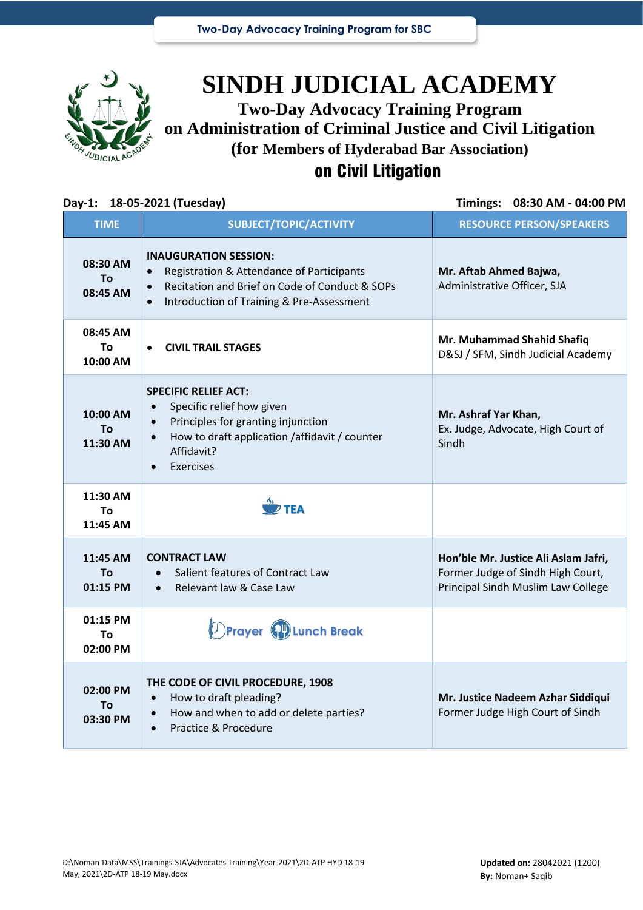

# **SINDH JUDICIAL ACADEMY Two-Day Advocacy Training Program on Administration of Criminal Justice and Civil Litigation**

**(for Members of Hyderabad Bar Association)**

## on Civil Litigation

### **Day-1: 18-05-2021 (Tuesday) Timings: 08:30 AM - 04:00 PM TIME SUBJECT/TOPIC/ACTIVITY RESOURCE PERSON/SPEAKERS 08:30 AM To 08:45 AM INAUGURATION SESSION:** • Registration & Attendance of Participants • Recitation and Brief on Code of Conduct & SOPs • Introduction of Training & Pre-Assessment **Mr. Aftab Ahmed Bajwa,** Administrative Officer, SJA **08:45 AM To 10:00 AM** • **CIVIL TRAIL STAGES Mr. Muhammad Shahid Shafiq** D&SJ / SFM, Sindh Judicial Academy **10:00 AM To 11:30 AM SPECIFIC RELIEF ACT:** Specific relief how given • Principles for granting injunction • How to draft application /affidavit / counter Affidavit? **Exercises Mr. Ashraf Yar Khan,** Ex. Judge, Advocate, High Court of Sindh **11:30 AM To 11:45 AM 11:45 AM To 01:15 PM CONTRACT LAW** • Salient features of Contract Law • Relevant law & Case Law **Hon'ble Mr. Justice Ali Aslam Jafri,**  Former Judge of Sindh High Court, Principal Sindh Muslim Law College **01:15 PM To 02:00 PM 02:00 PM To 03:30 PM THE CODE OF CIVIL PROCEDURE, 1908** • How to draft pleading? • How and when to add or delete parties? • Practice & Procedure **Mr. Justice Nadeem Azhar Siddiqui** Former Judge High Court of Sindh **TEA Prayer Lunch Break**